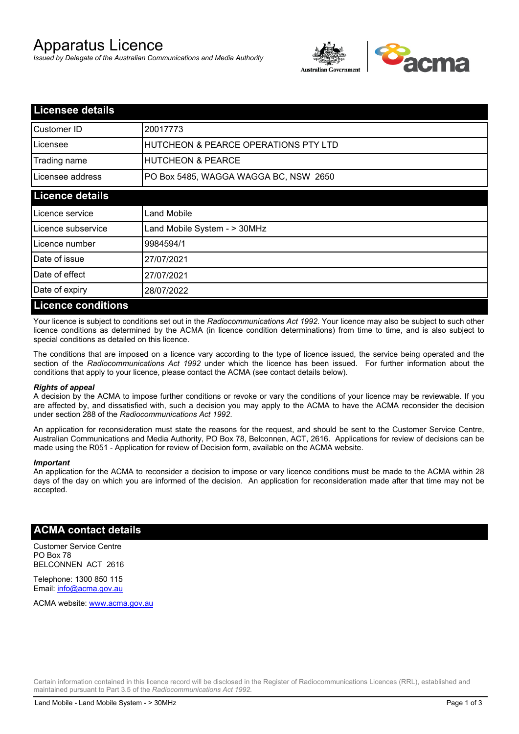# Apparatus Licence

*Issued by Delegate of the Australian Communications and Media Authority*



| <b>Licensee details</b>   |                                                 |
|---------------------------|-------------------------------------------------|
| Customer ID               | 20017773                                        |
| Licensee                  | <b>HUTCHEON &amp; PEARCE OPERATIONS PTY LTD</b> |
| Trading name              | <b>HUTCHEON &amp; PEARCE</b>                    |
| Licensee address          | PO Box 5485, WAGGA WAGGA BC, NSW 2650           |
| <b>Licence details</b>    |                                                 |
| Licence service           | Land Mobile                                     |
| Licence subservice        | Land Mobile System - > 30MHz                    |
| Licence number            | 9984594/1                                       |
| Date of issue             | 27/07/2021                                      |
| Date of effect            | 27/07/2021                                      |
| Date of expiry            | 28/07/2022                                      |
| <b>Licence conditions</b> |                                                 |

Your licence is subject to conditions set out in the *Radiocommunications Act 1992*. Your licence may also be subject to such other licence conditions as determined by the ACMA (in licence condition determinations) from time to time, and is also subject to special conditions as detailed on this licence.

The conditions that are imposed on a licence vary according to the type of licence issued, the service being operated and the section of the *Radiocommunications Act 1992* under which the licence has been issued. For further information about the conditions that apply to your licence, please contact the ACMA (see contact details below).

### *Rights of appeal*

A decision by the ACMA to impose further conditions or revoke or vary the conditions of your licence may be reviewable. If you are affected by, and dissatisfied with, such a decision you may apply to the ACMA to have the ACMA reconsider the decision under section 288 of the *Radiocommunications Act 1992*.

An application for reconsideration must state the reasons for the request, and should be sent to the Customer Service Centre, Australian Communications and Media Authority, PO Box 78, Belconnen, ACT, 2616. Applications for review of decisions can be made using the R051 - Application for review of Decision form, available on the ACMA website.

#### *Important*

An application for the ACMA to reconsider a decision to impose or vary licence conditions must be made to the ACMA within 28 days of the day on which you are informed of the decision. An application for reconsideration made after that time may not be accepted.

### **ACMA contact details**

Customer Service Centre PO Box 78 BELCONNEN ACT 2616

Telephone: 1300 850 115 Email: info@acma.gov.au

ACMA website: www.acma.gov.au

Certain information contained in this licence record will be disclosed in the Register of Radiocommunications Licences (RRL), established and maintained pursuant to Part 3.5 of the *Radiocommunications Act 1992.*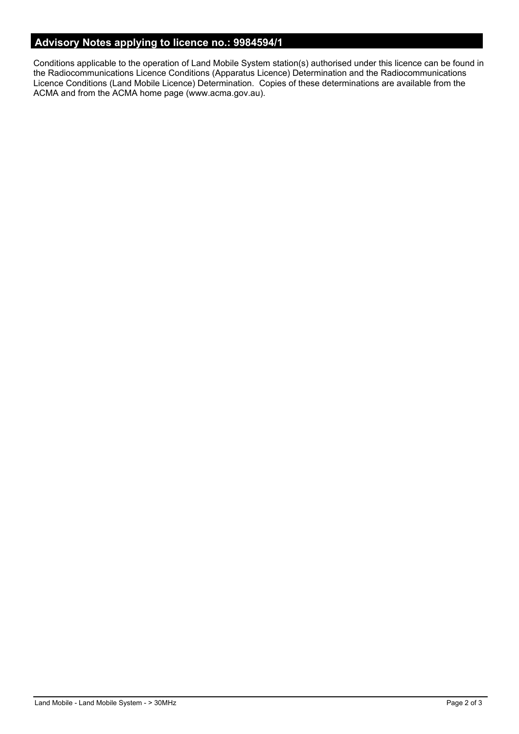# **Advisory Notes applying to licence no.: 9984594/1**

Conditions applicable to the operation of Land Mobile System station(s) authorised under this licence can be found in the Radiocommunications Licence Conditions (Apparatus Licence) Determination and the Radiocommunications Licence Conditions (Land Mobile Licence) Determination. Copies of these determinations are available from the ACMA and from the ACMA home page (www.acma.gov.au).